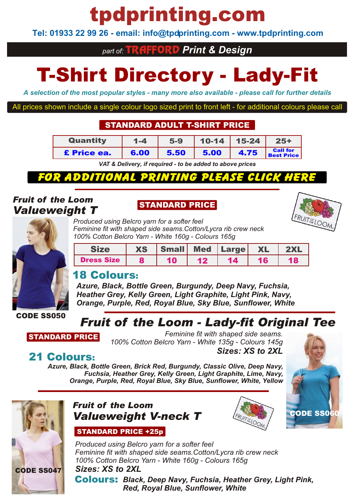# tpdprinting.com

**Tel: 01933 22 99 26 - email: info@tpdprinting.com - www.tpdprinting.com**

## *part of:* TRAFFORD *Print & Design*

# T-Shirt Directory - Lady-Fit

*A selection of the most popular styles - many more also available - please call for further details*

All prices shown include a single colour logo sized print to front left - for additional colours please call

### STANDARD ADULT T-SHIRT PRICE

| Quantity           | $1 - 4$ | $5-9$ |      | $10-14$   15-24 | $25+$                                |
|--------------------|---------|-------|------|-----------------|--------------------------------------|
| <b>E</b> Price ea. | 6.00    | 5.50  | 5.00 | 4.75            | <b>Call for</b><br><b>Best Price</b> |

*VAT & Delivery, if required - to be added to above prices*

# http://www.tpdprinting.com/resources/17+Adult+T-Shirts+Flexi+Print.pdf

## *Fruit of the Loom Valueweight T*

## STANDARD PRICE





*Produced using Belcro yarn for a softer feel Feminine fit with shaped side seams.Cotton/Lycra rib crew neck 100% Cotton Belcro Yarn - White 160g - Colours 165g*

|                   | <b>XS</b> | <b>Small</b> | Med Large | <b>XL</b> | 2XL |
|-------------------|-----------|--------------|-----------|-----------|-----|
| <b>Dress Size</b> |           |              | 14        | 16        | 18  |

## 18 Colours:

*Azure, Black, Bottle Green, Burgundy, Deep Navy, Fuchsia, Heather Grey, Kelly Green, Light Graphite, Light Pink, Navy, Orange, Purple, Red, Royal Blue, Sky Blue, Sunflower, White*

CODE SS050

# *Fruit of the Loom - Lady-fit Original Tee*

STANDARD PRICE

*Feminine fit with shaped side seams. 100% Cotton Belcro Yarn - White 135g - Colours 145g Sizes: XS to 2XL*

## 21 Colours:

*Azure, Black, Bottle Green, Brick Red, Burgundy, Classic Olive, Deep Navy, Fuchsia, Heather Grey, Kelly Green, Light Graphite, Lime, Navy, Orange, Purple, Red, Royal Blue, Sky Blue, Sunflower, White, Yellow*



## *Fruit of the Loom Valueweight V-neck T*

### STANDARD PRICE +25p





*Produced using Belcro yarn for a softer feel Feminine fit with shaped side seams.Cotton/Lycra rib crew neck 100% Cotton Belcro Yarn - White 160g - Colours 165g Sizes: XS to 2XL*

Colours: *Black, Deep Navy, Fuchsia, Heather Grey, Light Pink, Red, Royal Blue, Sunflower, White*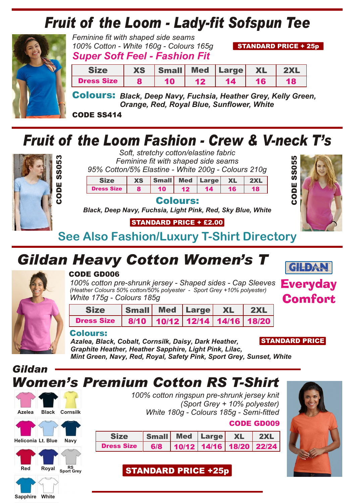# *Fruit of the Loom - Lady-fit Sofspun Tee*



*Feminine fit with shaped side seams 100% Cotton - White 160g - Colours 165g Super Soft Feel - Fashion Fit*

STANDARD PRICE + 25p

|                   | <b>XS</b> | Small <b>h</b> . |    | Med Large XL |    |  |
|-------------------|-----------|------------------|----|--------------|----|--|
| <b>Dress Size</b> |           | 10               | 49 | 14           | 16 |  |

Colours: *Black, Deep Navy, Fuchsia, Heather Grey, Kelly Green, Orange, Red, Royal Blue, Sunflower, White*

CODE SS414

# *Fruit of the Loom Fashion - Crew & V-neck T's*



*Soft, stretchy cotton/elastine fabric Feminine fit with shaped side seams 95% Cotton/5% Elastine - White 200g - Colours 210g*

Size XS Small Med Large XL 2XL

Dress Size 8 10 12 14 16 18

Colours:

*Black, Deep Navy, Fuchsia, Light Pink, Red, Sky Blue, White*

## STANDARD PRICE + £2.00

**See Also Fashion/Luxury T-Shirt Directory**

# *Gildan Heavy Cotton Women's T*



### CODE GD006

*100% cotton pre-shrunk jersey - Shaped sides - Cap Sleeves (Heather Colours 50% cotton/50% polyester - Sport Grey +10% polyester) White 175g - Colours 185g*

| <b>Size</b>                                       | Small Med Large XL 2XL |  |  |
|---------------------------------------------------|------------------------|--|--|
| Dress Size   8/10   10/12   12/14   14/16   18/20 |                        |  |  |

### Colours:

*Azalea, Black, Cobalt, Cornsilk, Daisy, Dark Heather, Graphite Heather, Heather Sapphire, Light Pink, Lilac,*

STANDARD PRICE

**Everyday** Comfort

**GILDAN** 

CODE

တ်<br>ဟ **თ** 

*Mint Green, Navy, Red, Royal, Safety Pink, Sport Grey, Sunset, White*







**Sapphire White**

*100% cotton ringspun pre-shrunk jersey knit (Sport Grey + 10% polyester) White 180g - Colours 185g - Semi-fitted*

|                | <b>CODE GD009</b> |
|----------------|-------------------|
| $\blacksquare$ |                   |

| Size                                   | Small Med Large XL |  | $\overline{\phantom{a}}$ 2XL |
|----------------------------------------|--------------------|--|------------------------------|
| Dress Size 6/8 10/12 14/16 18/20 22/24 |                    |  |                              |

STANDARD PRICE +25p

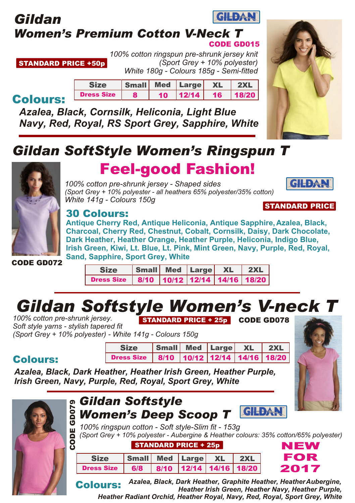### **GILDAN** *Gildan Women's Premium Cotton V-Neck T* CODE GD015

STANDARD PRICE +50p *100% cotton ringspun pre-shrunk jersey knit (Sport Grey + 10% polyester) White 180g - Colours 185g - Semi-fitted*

> Size Small Med Large XL 2XL Dress Size 8 10 12/14 16 18/20

# Colours:

*Azalea, Black, Cornsilk, Heliconia, Light Blue Navy, Red, Royal, RS Sport Grey, Sapphire, White*



**GILDA!** 

# *Gildan SoftStyle Women's Ringspun T*



# Feel-good Fashion!

*100% cotton pre-shrunk jersey - Shaped sides (Sport Grey + 10% polyester - all heathers 65% polyester/35% cotton) White 141g - Colours 150g* STANDARD PRICE



**Antique Cherry Red, Antique Heliconia, Antique Sapphire, Azalea, Black, Charcoal, Cherry Red, Chestnut, Cobalt, Cornsilk, Daisy, Dark Chocolate, Dark Heather, Heather Orange, Heather Purple, Heliconia, Indigo Blue, Irish Green, Kiwi, Lt. Blue, Lt. Pink, Mint Green, Navy, Purple, Red, Royal, Sand, Sapphire, Sport Grey, White**

CODE GD072

Colours:

| <b>Size</b>                                       | Small Med Large XL 2XL |  |  |
|---------------------------------------------------|------------------------|--|--|
| Dress Size   8/10   10/12   12/14   14/16   18/20 |                        |  |  |

# *Gildan Softstyle Women's V-neck T*

*100% cotton pre-shrunk jersey. Soft style yarns - stylish tapered fit (Sport Grey + 10% polyester) - White 141g - Colours 150g* STANDARD PRICE + 25p CODE GD078

| <b>Size</b>                                       | Small Med Large XL 2XL |  |  |
|---------------------------------------------------|------------------------|--|--|
| Dress Size   8/10   10/12   12/14   14/16   18/20 |                        |  |  |

*Azalea, Black, Dark Heather, Heather Irish Green, Heather Purple, Irish Green, Navy, Purple, Red, Royal, Sport Grey, White*



Colours: *Heather Irish Green, Heather Navy, Heather Purple, Heather Radiant Orchid, Heather Royal, Navy, Red, Royal, Sport Grey, White*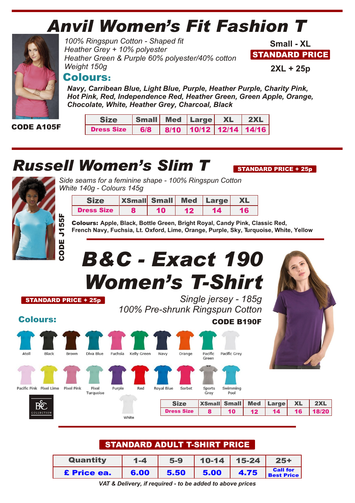# *Anvil Women's Fit Fashion T*



CODE A105F

*100% Ringspun Cotton - Shaped fit Heather Grey + 10% polyester Heather Green & Purple 60% polyester/40% cotton Weight 150g*

STANDARD PRICE **Small - XL**

**2XL + 25p**

STANDARD PRICE + 25p

### Colours:

*Navy, Carribean Blue, Light Blue, Purple, Heather Purple, Charity Pink, Hot Pink, Red, Independence Red, Heather Green, Green Apple, Orange, Chocolate, White, Heather Grey, Charcoal, Black*

| <b>Size</b>       | Small Med Large XL 2XL |                        |  |  |
|-------------------|------------------------|------------------------|--|--|
| <b>Dress Size</b> | $-6/8$                 | 8/10 10/12 12/14 14/16 |  |  |

# *Russell Women's Slim T*



*Side seams for a feminine shape - 100% Ringspun Cotton White 140g - Colours 145g*

|                   | <b>XSmall Small Med Large</b> |  |  |
|-------------------|-------------------------------|--|--|
| <b>Dress Size</b> |                               |  |  |

Colours: **Apple, Black, Bottle Green, Bright Royal, Candy Pink, Classic Red, French Navy, Fuchsia, Lt. Oxford, Lime, Orange, Purple, Sky, Turquoise, White, Yellow** J15 5F

# *B&C - Exact 190 Women's T-Shirt*

STANDARD PRICE + 25p

ပ o<br>O

> *Single jersey - 185g 100% Pre-shrunk Ringspun Cotton*

> > CODE B190F

Colours:





## STANDARD ADULT T-SHIRT PRICE

| Quantity    | $1 - 4$ | $5-9$ |      | $10-14$ 15-24 | $25+$                                |
|-------------|---------|-------|------|---------------|--------------------------------------|
| £ Price ea. | 6.00    | 5.50  | 5.00 | 14.75         | <b>Call for</b><br><b>Best Price</b> |

*VAT & Delivery, if required - to be added to above prices*